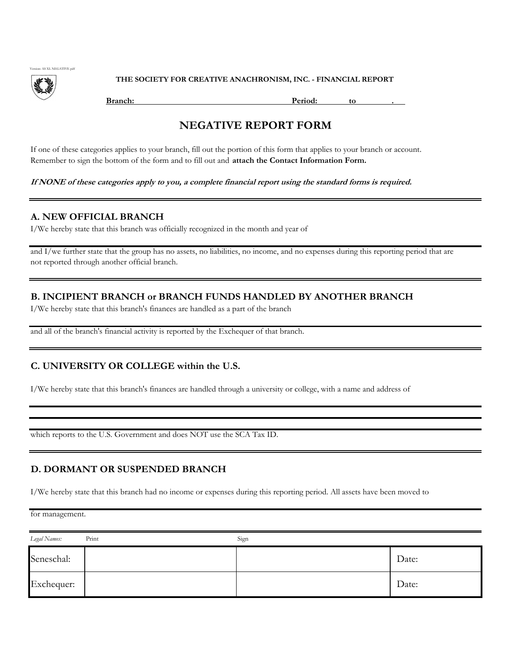

THE SOCIETY FOR CREATIVE ANACHRONISM, INC. - FINANCIAL REPORT

**Branch:** Period: to .

# NEGATIVE REPORT FORM

If one of these categories applies to your branch, fill out the portion of this form that applies to your branch or account. Remember to sign the bottom of the form and to fill out and attach the Contact Information Form.

If NONE of these categories apply to you, a complete financial report using the standard forms is required.

#### A. NEW OFFICIAL BRANCH

I/We hereby state that this branch was officially recognized in the month and year of

and I/we further state that the group has no assets, no liabilities, no income, and no expenses during this reporting period that are not reported through another official branch.

#### B. INCIPIENT BRANCH or BRANCH FUNDS HANDLED BY ANOTHER BRANCH

I/We hereby state that this branch's finances are handled as a part of the branch

and all of the branch's financial activity is reported by the Exchequer of that branch.

#### C. UNIVERSITY OR COLLEGE within the U.S.

I/We hereby state that this branch's finances are handled through a university or college, with a name and address of

which reports to the U.S. Government and does NOT use the SCA Tax ID.

### D. DORMANT OR SUSPENDED BRANCH

I/We hereby state that this branch had no income or expenses during this reporting period. All assets have been moved to

for management.

| Legal Names: | Print | Sign |       |
|--------------|-------|------|-------|
| Seneschal:   |       |      | Date: |
| Exchequer:   |       |      | Date: |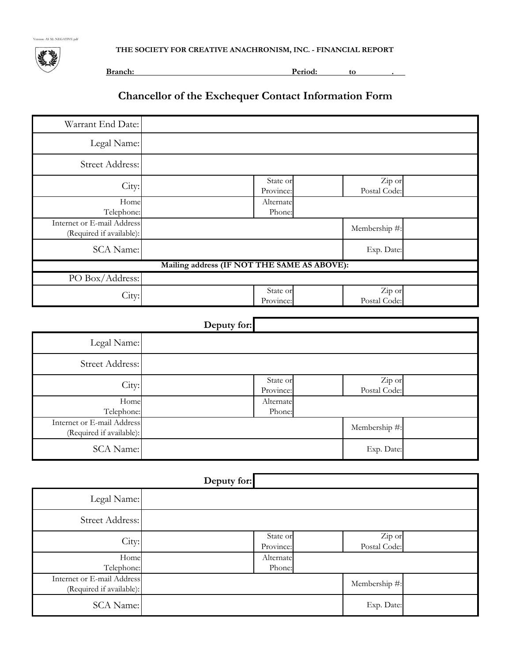Version: AS XL NEGATIVE pdf

THE SOCIETY FOR CREATIVE ANACHRONISM, INC. - FINANCIAL REPORT



Branch: **Period:** to ...

# Chancellor of the Exchequer Contact Information Form

| Warrant End Date:                                      |                                             |                       |                        |  |
|--------------------------------------------------------|---------------------------------------------|-----------------------|------------------------|--|
| Legal Name:                                            |                                             |                       |                        |  |
| Street Address:                                        |                                             |                       |                        |  |
| City:                                                  |                                             | State or<br>Province: | Zip or<br>Postal Code: |  |
| Home<br>Telephone:                                     |                                             | Alternate<br>Phone:   |                        |  |
| Internet or E-mail Address<br>(Required if available): |                                             |                       | Membership #:          |  |
| <b>SCA Name:</b>                                       |                                             |                       | Exp. Date:             |  |
|                                                        | Mailing address (IF NOT THE SAME AS ABOVE): |                       |                        |  |
| PO Box/Address:                                        |                                             |                       |                        |  |
| City:                                                  |                                             | State or<br>Province: | Zip or<br>Postal Code: |  |

# Deputy for:

|                                                        | ┙ |                       |                        |  |
|--------------------------------------------------------|---|-----------------------|------------------------|--|
| Legal Name:                                            |   |                       |                        |  |
| Street Address:                                        |   |                       |                        |  |
| City:                                                  |   | State or<br>Province: | Zip or<br>Postal Code: |  |
| Home<br>Telephone:                                     |   | Alternate<br>Phone:   |                        |  |
| Internet or E-mail Address<br>(Required if available): |   |                       | Membership #:          |  |
| <b>SCA Name:</b>                                       |   |                       | Exp. Date:             |  |

|                                                        | Deputy for: |                       |                        |  |
|--------------------------------------------------------|-------------|-----------------------|------------------------|--|
| Legal Name:                                            |             |                       |                        |  |
| Street Address:                                        |             |                       |                        |  |
| City:                                                  |             | State or<br>Province: | Zip or<br>Postal Code: |  |
| Home<br>Telephone:                                     |             | Alternate<br>Phone:   |                        |  |
| Internet or E-mail Address<br>(Required if available): |             |                       | Membership #:          |  |
| SCA Name:                                              |             |                       | Exp. Date:             |  |